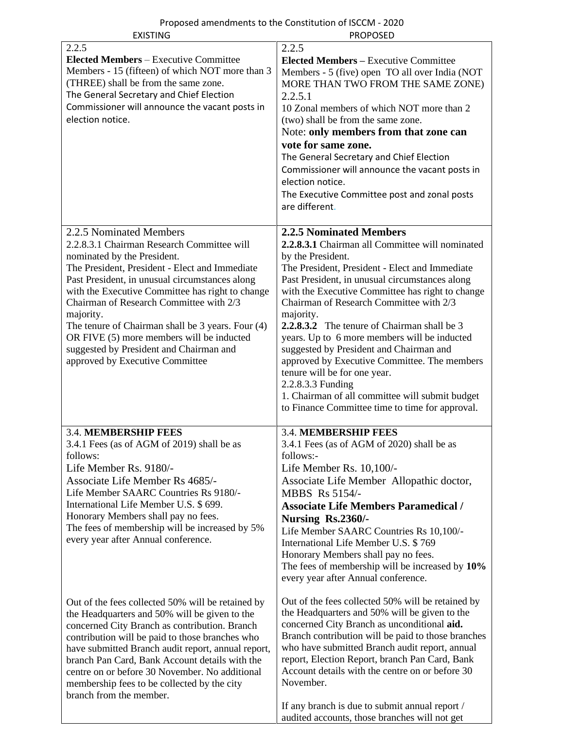| <b>EXISTING</b>                                                                                                                                                                                                                                                                                                                                                                                                                                                                                      | <b>PROPOSED</b>                                                                                                                                                                                                                                                                                                                                                                                                                                                                                                                                                                                                                                                             |
|------------------------------------------------------------------------------------------------------------------------------------------------------------------------------------------------------------------------------------------------------------------------------------------------------------------------------------------------------------------------------------------------------------------------------------------------------------------------------------------------------|-----------------------------------------------------------------------------------------------------------------------------------------------------------------------------------------------------------------------------------------------------------------------------------------------------------------------------------------------------------------------------------------------------------------------------------------------------------------------------------------------------------------------------------------------------------------------------------------------------------------------------------------------------------------------------|
| 2.2.5<br><b>Elected Members - Executive Committee</b><br>Members - 15 (fifteen) of which NOT more than 3<br>(THREE) shall be from the same zone.<br>The General Secretary and Chief Election<br>Commissioner will announce the vacant posts in<br>election notice.                                                                                                                                                                                                                                   | 2.2.5<br><b>Elected Members – Executive Committee</b><br>Members - 5 (five) open TO all over India (NOT<br>MORE THAN TWO FROM THE SAME ZONE)<br>2.2.5.1<br>10 Zonal members of which NOT more than 2<br>(two) shall be from the same zone.<br>Note: only members from that zone can<br>vote for same zone.<br>The General Secretary and Chief Election<br>Commissioner will announce the vacant posts in<br>election notice.<br>The Executive Committee post and zonal posts<br>are different.                                                                                                                                                                              |
| 2.2.5 Nominated Members<br>2.2.8.3.1 Chairman Research Committee will<br>nominated by the President.<br>The President, President - Elect and Immediate<br>Past President, in unusual circumstances along<br>with the Executive Committee has right to change<br>Chairman of Research Committee with 2/3<br>majority.<br>The tenure of Chairman shall be 3 years. Four (4)<br>OR FIVE (5) more members will be inducted<br>suggested by President and Chairman and<br>approved by Executive Committee | <b>2.2.5 Nominated Members</b><br>2.2.8.3.1 Chairman all Committee will nominated<br>by the President.<br>The President, President - Elect and Immediate<br>Past President, in unusual circumstances along<br>with the Executive Committee has right to change<br>Chairman of Research Committee with 2/3<br>majority.<br>2.2.8.3.2 The tenure of Chairman shall be 3<br>years. Up to 6 more members will be inducted<br>suggested by President and Chairman and<br>approved by Executive Committee. The members<br>tenure will be for one year.<br>2.2.8.3.3 Funding<br>1. Chairman of all committee will submit budget<br>to Finance Committee time to time for approval. |
| <b>3.4. MEMBERSHIP FEES</b><br>3.4.1 Fees (as of AGM of 2019) shall be as<br>follows:<br>Life Member Rs. 9180/-<br><b>Associate Life Member Rs 4685/-</b><br>Life Member SAARC Countries Rs 9180/-<br>International Life Member U.S. \$699.<br>Honorary Members shall pay no fees.<br>The fees of membership will be increased by 5%<br>every year after Annual conference.                                                                                                                          | <b>3.4. MEMBERSHIP FEES</b><br>3.4.1 Fees (as of AGM of 2020) shall be as<br>follows:-<br>Life Member Rs. 10,100/-<br>Associate Life Member Allopathic doctor,<br>MBBS Rs 5154/-<br><b>Associate Life Members Paramedical /</b><br>Nursing Rs.2360/-<br>Life Member SAARC Countries Rs 10,100/-<br>International Life Member U.S. \$769<br>Honorary Members shall pay no fees.<br>The fees of membership will be increased by 10%<br>every year after Annual conference.                                                                                                                                                                                                    |
| Out of the fees collected 50% will be retained by<br>the Headquarters and 50% will be given to the<br>concerned City Branch as contribution. Branch<br>contribution will be paid to those branches who<br>have submitted Branch audit report, annual report,<br>branch Pan Card, Bank Account details with the<br>centre on or before 30 November. No additional<br>membership fees to be collected by the city<br>branch from the member.                                                           | Out of the fees collected 50% will be retained by<br>the Headquarters and 50% will be given to the<br>concerned City Branch as unconditional aid.<br>Branch contribution will be paid to those branches<br>who have submitted Branch audit report, annual<br>report, Election Report, branch Pan Card, Bank<br>Account details with the centre on or before 30<br>November.<br>If any branch is due to submit annual report /                                                                                                                                                                                                                                               |

audited accounts, those branches will not get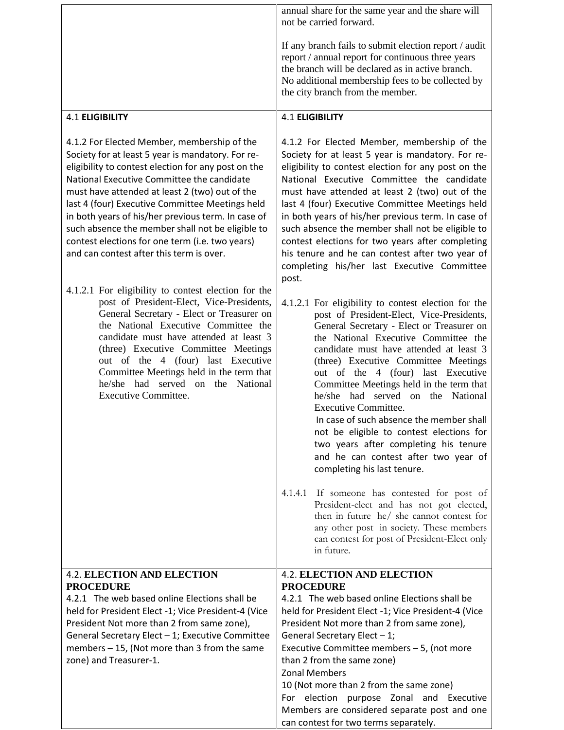| annual share for the same year and the share will<br>not be carried forward.                                                                                                                                                                                                                                                                                                                                                                                                                                                                                                                                                               |
|--------------------------------------------------------------------------------------------------------------------------------------------------------------------------------------------------------------------------------------------------------------------------------------------------------------------------------------------------------------------------------------------------------------------------------------------------------------------------------------------------------------------------------------------------------------------------------------------------------------------------------------------|
| If any branch fails to submit election report / audit<br>report / annual report for continuous three years<br>the branch will be declared as in active branch.<br>No additional membership fees to be collected by<br>the city branch from the member.                                                                                                                                                                                                                                                                                                                                                                                     |
| <b>4.1 ELIGIBILITY</b>                                                                                                                                                                                                                                                                                                                                                                                                                                                                                                                                                                                                                     |
| 4.1.2 For Elected Member, membership of the<br>Society for at least 5 year is mandatory. For re-<br>eligibility to contest election for any post on the<br>National Executive Committee the candidate<br>must have attended at least 2 (two) out of the<br>last 4 (four) Executive Committee Meetings held<br>in both years of his/her previous term. In case of<br>such absence the member shall not be eligible to<br>contest elections for two years after completing<br>his tenure and he can contest after two year of<br>completing his/her last Executive Committee<br>post.<br>4.1.2.1 For eligibility to contest election for the |
| post of President-Elect, Vice-Presidents,<br>General Secretary - Elect or Treasurer on<br>the National Executive Committee the<br>candidate must have attended at least 3<br>(three) Executive Committee Meetings<br>out of the 4 (four) last Executive<br>Committee Meetings held in the term that<br>he/she had served on the National<br><b>Executive Committee.</b><br>In case of such absence the member shall<br>not be eligible to contest elections for<br>two years after completing his tenure<br>and he can contest after two year of<br>completing his last tenure.                                                            |
| 4.1.4.1 If someone has contested for post of<br>President-elect and has not got elected,<br>then in future he/ she cannot contest for<br>any other post in society. These members<br>can contest for post of President-Elect only<br>in future.                                                                                                                                                                                                                                                                                                                                                                                            |
| <b>4.2. ELECTION AND ELECTION</b>                                                                                                                                                                                                                                                                                                                                                                                                                                                                                                                                                                                                          |
| <b>PROCEDURE</b><br>4.2.1 The web based online Elections shall be<br>held for President Elect -1; Vice President-4 (Vice<br>President Not more than 2 from same zone),<br>General Secretary Elect - 1;<br>Executive Committee members $-5$ , (not more<br>than 2 from the same zone)<br><b>Zonal Members</b><br>10 (Not more than 2 from the same zone)<br>For election<br>purpose Zonal and Executive<br>Members are considered separate post and one<br>can contest for two terms separately.                                                                                                                                            |
|                                                                                                                                                                                                                                                                                                                                                                                                                                                                                                                                                                                                                                            |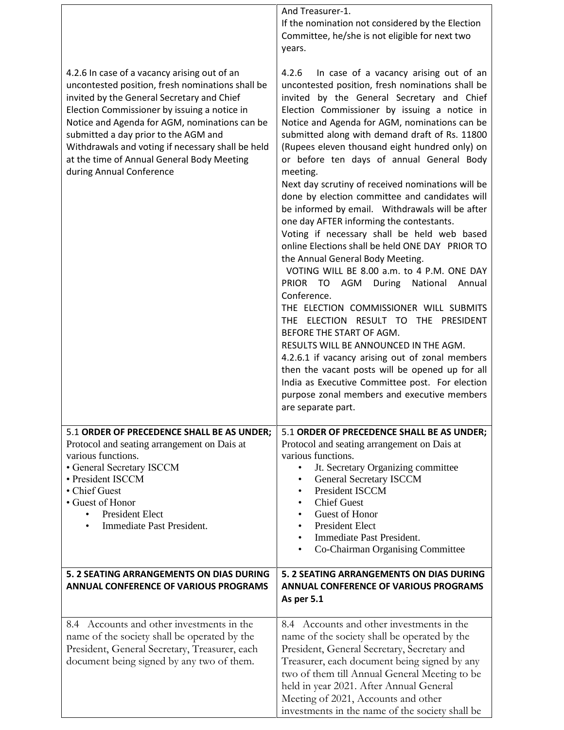|                                                                                                                                                                                                                                                                                                                                                                                                                        | And Treasurer-1.<br>If the nomination not considered by the Election<br>Committee, he/she is not eligible for next two<br>years.                                                                                                                                                                                                                                                                                                                                                                                                                                                                                                                                                                                                                                                                                                                                                                                                                                                                                                                                                                                                                                                                                                                     |
|------------------------------------------------------------------------------------------------------------------------------------------------------------------------------------------------------------------------------------------------------------------------------------------------------------------------------------------------------------------------------------------------------------------------|------------------------------------------------------------------------------------------------------------------------------------------------------------------------------------------------------------------------------------------------------------------------------------------------------------------------------------------------------------------------------------------------------------------------------------------------------------------------------------------------------------------------------------------------------------------------------------------------------------------------------------------------------------------------------------------------------------------------------------------------------------------------------------------------------------------------------------------------------------------------------------------------------------------------------------------------------------------------------------------------------------------------------------------------------------------------------------------------------------------------------------------------------------------------------------------------------------------------------------------------------|
| 4.2.6 In case of a vacancy arising out of an<br>uncontested position, fresh nominations shall be<br>invited by the General Secretary and Chief<br>Election Commissioner by issuing a notice in<br>Notice and Agenda for AGM, nominations can be<br>submitted a day prior to the AGM and<br>Withdrawals and voting if necessary shall be held<br>at the time of Annual General Body Meeting<br>during Annual Conference | 4.2.6<br>In case of a vacancy arising out of an<br>uncontested position, fresh nominations shall be<br>invited by the General Secretary and Chief<br>Election Commissioner by issuing a notice in<br>Notice and Agenda for AGM, nominations can be<br>submitted along with demand draft of Rs. 11800<br>(Rupees eleven thousand eight hundred only) on<br>or before ten days of annual General Body<br>meeting.<br>Next day scrutiny of received nominations will be<br>done by election committee and candidates will<br>be informed by email. Withdrawals will be after<br>one day AFTER informing the contestants.<br>Voting if necessary shall be held web based<br>online Elections shall be held ONE DAY PRIOR TO<br>the Annual General Body Meeting.<br>VOTING WILL BE 8.00 a.m. to 4 P.M. ONE DAY<br>PRIOR TO AGM During National Annual<br>Conference.<br>THE ELECTION COMMISSIONER WILL SUBMITS<br>THE ELECTION RESULT TO THE PRESIDENT<br>BEFORE THE START OF AGM.<br>RESULTS WILL BE ANNOUNCED IN THE AGM.<br>4.2.6.1 if vacancy arising out of zonal members<br>then the vacant posts will be opened up for all<br>India as Executive Committee post. For election<br>purpose zonal members and executive members<br>are separate part. |
| 5.1 ORDER OF PRECEDENCE SHALL BE AS UNDER;<br>Protocol and seating arrangement on Dais at<br>various functions.<br>• General Secretary ISCCM<br>· President ISCCM<br>• Chief Guest<br>• Guest of Honor<br><b>President Elect</b><br>$\bullet$<br>Immediate Past President.<br>$\bullet$                                                                                                                                | 5.1 ORDER OF PRECEDENCE SHALL BE AS UNDER;<br>Protocol and seating arrangement on Dais at<br>various functions.<br>Jt. Secretary Organizing committee<br><b>General Secretary ISCCM</b><br>٠<br><b>President ISCCM</b><br><b>Chief Guest</b><br>Guest of Honor<br><b>President Elect</b><br>Immediate Past President.<br>$\bullet$<br>Co-Chairman Organising Committee                                                                                                                                                                                                                                                                                                                                                                                                                                                                                                                                                                                                                                                                                                                                                                                                                                                                               |
| 5. 2 SEATING ARRANGEMENTS ON DIAS DURING<br><b>ANNUAL CONFERENCE OF VARIOUS PROGRAMS</b>                                                                                                                                                                                                                                                                                                                               | 5. 2 SEATING ARRANGEMENTS ON DIAS DURING<br><b>ANNUAL CONFERENCE OF VARIOUS PROGRAMS</b><br>As per 5.1                                                                                                                                                                                                                                                                                                                                                                                                                                                                                                                                                                                                                                                                                                                                                                                                                                                                                                                                                                                                                                                                                                                                               |
| 8.4 Accounts and other investments in the<br>name of the society shall be operated by the<br>President, General Secretary, Treasurer, each<br>document being signed by any two of them.                                                                                                                                                                                                                                | 8.4 Accounts and other investments in the<br>name of the society shall be operated by the<br>President, General Secretary, Secretary and<br>Treasurer, each document being signed by any<br>two of them till Annual General Meeting to be<br>held in year 2021. After Annual General<br>Meeting of 2021, Accounts and other<br>investments in the name of the society shall be                                                                                                                                                                                                                                                                                                                                                                                                                                                                                                                                                                                                                                                                                                                                                                                                                                                                       |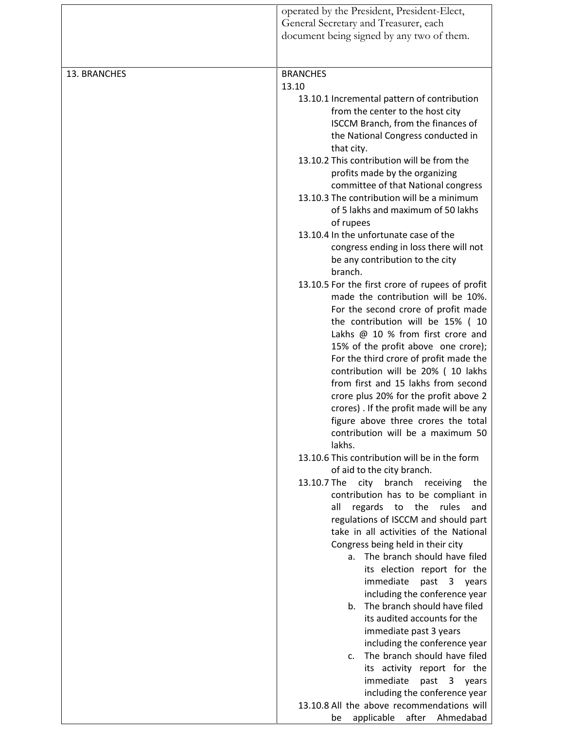|              | operated by the President, President-Elect,<br>General Secretary and Treasurer, each<br>document being signed by any two of them.                                                                                       |
|--------------|-------------------------------------------------------------------------------------------------------------------------------------------------------------------------------------------------------------------------|
|              |                                                                                                                                                                                                                         |
| 13. BRANCHES | <b>BRANCHES</b><br>13.10                                                                                                                                                                                                |
|              | 13.10.1 Incremental pattern of contribution<br>from the center to the host city<br>ISCCM Branch, from the finances of<br>the National Congress conducted in<br>that city.<br>13.10.2 This contribution will be from the |
|              | profits made by the organizing<br>committee of that National congress<br>13.10.3 The contribution will be a minimum                                                                                                     |
|              | of 5 lakhs and maximum of 50 lakhs<br>of rupees                                                                                                                                                                         |
|              | 13.10.4 In the unfortunate case of the<br>congress ending in loss there will not<br>be any contribution to the city<br>branch.                                                                                          |
|              | 13.10.5 For the first crore of rupees of profit<br>made the contribution will be 10%.<br>For the second crore of profit made                                                                                            |
|              | the contribution will be 15% (10<br>Lakhs @ 10 % from first crore and<br>15% of the profit above one crore);                                                                                                            |
|              | For the third crore of profit made the<br>contribution will be 20% (10 lakhs<br>from first and 15 lakhs from second                                                                                                     |
|              | crore plus 20% for the profit above 2<br>crores). If the profit made will be any<br>figure above three crores the total                                                                                                 |
|              | contribution will be a maximum 50<br>lakhs.                                                                                                                                                                             |
|              | 13.10.6 This contribution will be in the form<br>of aid to the city branch.                                                                                                                                             |
|              | 13.10.7 The<br>city branch<br>receiving<br>the<br>contribution has to be compliant in                                                                                                                                   |
|              | regards<br>the<br>rules<br>all<br>to<br>and<br>regulations of ISCCM and should part                                                                                                                                     |
|              | take in all activities of the National<br>Congress being held in their city                                                                                                                                             |
|              | The branch should have filed<br>a.<br>its election report for the                                                                                                                                                       |
|              | immediate<br>past 3 years<br>including the conference year<br>The branch should have filed<br>b.                                                                                                                        |
|              | its audited accounts for the<br>immediate past 3 years                                                                                                                                                                  |
|              | including the conference year<br>The branch should have filed<br>c.                                                                                                                                                     |
|              | its activity report for the<br>immediate<br>past<br>3 years                                                                                                                                                             |
|              | including the conference year                                                                                                                                                                                           |
|              | 13.10.8 All the above recommendations will<br>after<br>Ahmedabad<br>applicable<br>be                                                                                                                                    |